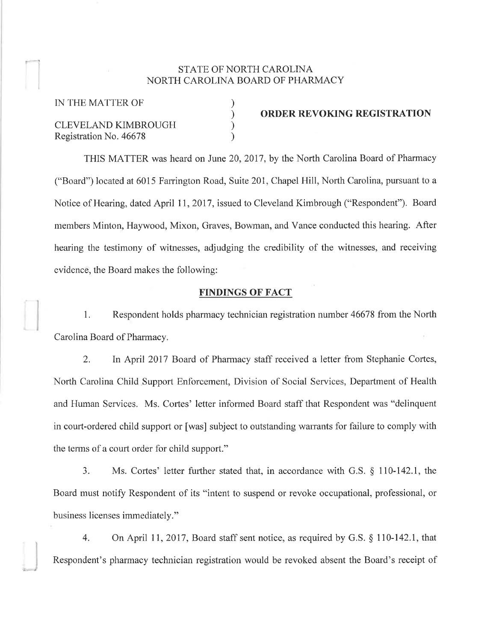### STATE OF NORTH CAROLINA NORTH CAROLINA BOARD OF PHARMACY

) ) ) )

IN THE MATTER OF CLEVELAND KIMBROUGH Registration No. 46678

)

ORDER REVOKING REGISTRATION

THIS MATTER was heard on June 20,2017, by the North Carolina Board of Pharmacy ("Board") located at 6015 Farrington Road, Suite 201, Chapel Hill, North Carolina, pursuant to a Notice of Hearing, dated April 11, 2017, issued to Cleveland Kimbrough ("Respondent"). Board members Minton, Haywood, Mixon, Graves, Bowman, and Vance conducted this hearing. After hearing the testimony of witnesses, adjudging the credibility of the witnesses, and receiving evidence, the Board makes the following:

#### FINDINGS OF FACT

1. Respondent holds pharmacy technician registration number 46678 from the North Carolina Board of Pharmacy.

2. In April 2017 Board of Pharmacy staff received a letter from Stephanie Cortes, North Carolina Child Support Enforcement, Division of Social Services, Department of Health and Human Services. Ms. Cortes' letter informed Board staff that Respondent was "delinquent in court-ordered child support or [was] subject to outstanding warrants for failure to comply with the terms of a court order for child support."

3. Ms. Cortes'letter further stated that, in accordance with G.S. \$ 110-142.1, the Board must notify Respondent of its "intent to suspend or revoke occupational, professional, or business licenses immediately. "

4. On April 7I,2017, Board staff sent notice, as required by G.S. \$ 110-142.1, that Respondent's pharmacy technician registration would be revoked absent the Board's receipt of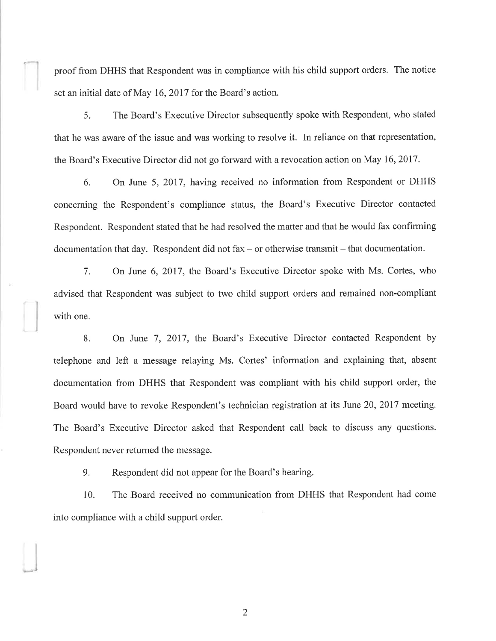proof from DHHS that Respondent was in compliance with his child support orders. The notice set an initial date of May 16,2017 for the Board's action.

5. The Board's Executive Director subsequently spoke with Respondent, who stated that he was aware of the issue and was working to resolve it. In reliance on that representation, the Board's Executive Director did not go forward with a revocation action on May 16,2017.

6. On June 5,2017, having received no information from Respondent or DHHS concerning the Respondent's compliance status, the Board's Executive Director contacted Respondent. Respondent stated that he had resolved the matter and that he would fax confirming documentation that day. Respondent did not fax – or otherwise transmit – that documentation.

7. On June 6, 2017, the Board's Executive Director spoke with Ms. Cortes, who advised that Respondent was subject to two child support orders and remained non-compliant with one.

8. On June 7,2017, the Board's Executive Director contacted Respondent by telephone and left a message relaying Ms. Corles' information and explaining that, absent documentation from DHHS that Respondent was compliant with his child support order, the Board would have to revoke Respondent's technician registration at its June 20,2017 meeting. The Board's Executive Director asked that Respondent call back to discuss any questions. Respondent never returned the message.

9. Respondent did not appear for the Board's hearing.

10. The Roard received no communication from DHHS that Respondent had come into compliance with a child support order.

2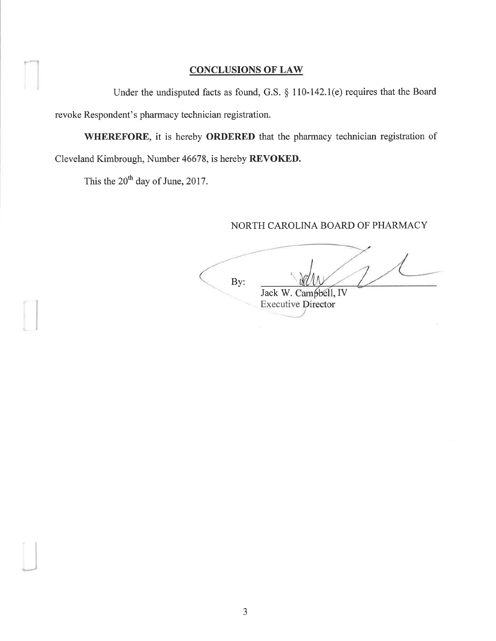# CONCLUSIONS OF LAW

Under the undisputed facts as found, G.S.  $\S$  110-142.1(e) requires that the Board revoke Respondent's pharmacy technician registration.

WHEREFORE, it is hereby ORDERED that the pharmacy technician registration of Cleveland Kimbrough, Number 46678, is hereby REVOKED.

This the  $20^{th}$  day of June, 2017.

"l

 $\overline{\phantom{a}}$ 

## NORTH CAROLINA BOARD OF PHARMACY

By: Jack W. Campbell, IV **Executive Director**